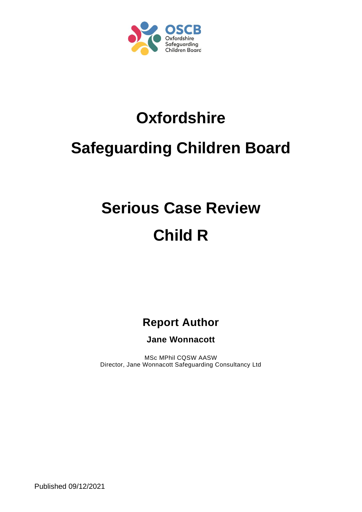

# **Oxfordshire**

### **Safeguarding Children Board**

## **Serious Case Review Child R**

**Report Author**

**Jane Wonnacott**

MSc MPhil CQSW AASW Director, Jane Wonnacott Safeguarding Consultancy Ltd

Published 09/12/2021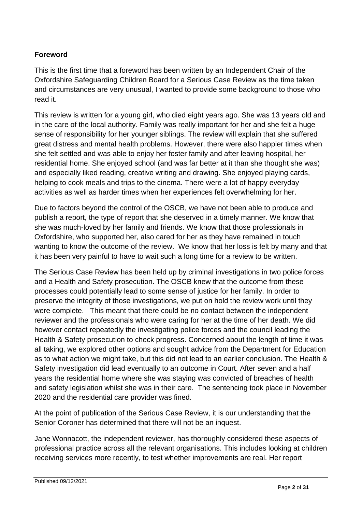#### **Foreword**

This is the first time that a foreword has been written by an Independent Chair of the Oxfordshire Safeguarding Children Board for a Serious Case Review as the time taken and circumstances are very unusual, I wanted to provide some background to those who read it.

This review is written for a young girl, who died eight years ago. She was 13 years old and in the care of the local authority. Family was really important for her and she felt a huge sense of responsibility for her younger siblings. The review will explain that she suffered great distress and mental health problems. However, there were also happier times when she felt settled and was able to enjoy her foster family and after leaving hospital, her residential home. She enjoyed school (and was far better at it than she thought she was) and especially liked reading, creative writing and drawing. She enjoyed playing cards, helping to cook meals and trips to the cinema. There were a lot of happy everyday activities as well as harder times when her experiences felt overwhelming for her.

Due to factors beyond the control of the OSCB, we have not been able to produce and publish a report, the type of report that she deserved in a timely manner. We know that she was much-loved by her family and friends. We know that those professionals in Oxfordshire, who supported her, also cared for her as they have remained in touch wanting to know the outcome of the review. We know that her loss is felt by many and that it has been very painful to have to wait such a long time for a review to be written.

The Serious Case Review has been held up by criminal investigations in two police forces and a Health and Safety prosecution. The OSCB knew that the outcome from these processes could potentially lead to some sense of justice for her family. In order to preserve the integrity of those investigations, we put on hold the review work until they were complete. This meant that there could be no contact between the independent reviewer and the professionals who were caring for her at the time of her death. We did however contact repeatedly the investigating police forces and the council leading the Health & Safety prosecution to check progress. Concerned about the length of time it was all taking, we explored other options and sought advice from the Department for Education as to what action we might take, but this did not lead to an earlier conclusion. The Health & Safety investigation did lead eventually to an outcome in Court. After seven and a half years the residential home where she was staying was convicted of breaches of health and safety legislation whilst she was in their care. The sentencing took place in November 2020 and the residential care provider was fined.

At the point of publication of the Serious Case Review, it is our understanding that the Senior Coroner has determined that there will not be an inquest.

Jane Wonnacott, the independent reviewer, has thoroughly considered these aspects of professional practice across all the relevant organisations. This includes looking at children receiving services more recently, to test whether improvements are real. Her report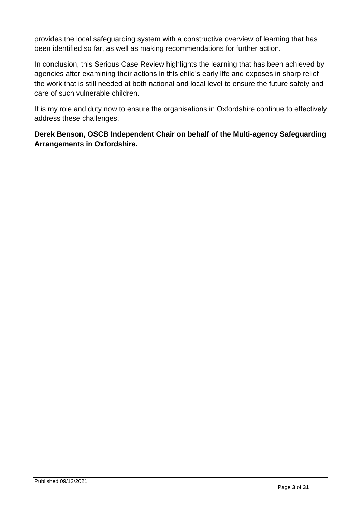provides the local safeguarding system with a constructive overview of learning that has been identified so far, as well as making recommendations for further action.

In conclusion, this Serious Case Review highlights the learning that has been achieved by agencies after examining their actions in this child's early life and exposes in sharp relief the work that is still needed at both national and local level to ensure the future safety and care of such vulnerable children.

It is my role and duty now to ensure the organisations in Oxfordshire continue to effectively address these challenges.

**Derek Benson, OSCB Independent Chair on behalf of the Multi-agency Safeguarding Arrangements in Oxfordshire.**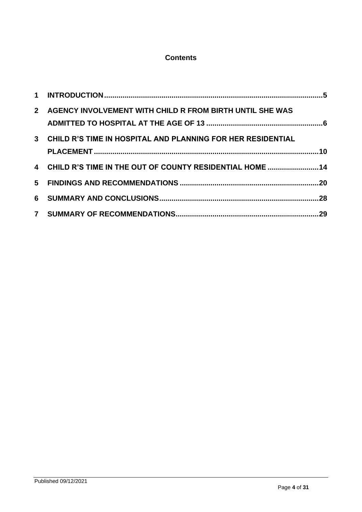#### **Contents**

| 2 <sup>1</sup> | AGENCY INVOLVEMENT WITH CHILD R FROM BIRTH UNTIL SHE WAS      |  |
|----------------|---------------------------------------------------------------|--|
|                | 3 CHILD R'S TIME IN HOSPITAL AND PLANNING FOR HER RESIDENTIAL |  |
|                | 4 CHILD R'S TIME IN THE OUT OF COUNTY RESIDENTIAL HOME  14    |  |
|                |                                                               |  |
|                |                                                               |  |
|                |                                                               |  |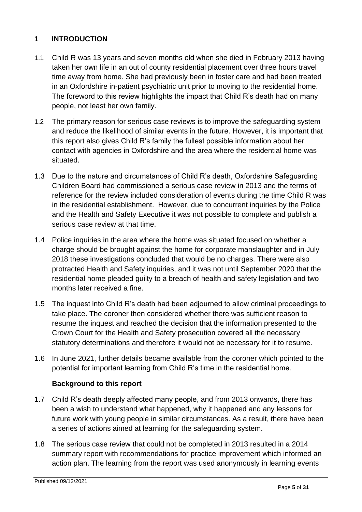#### <span id="page-4-0"></span>**1 INTRODUCTION**

- 1.1 Child R was 13 years and seven months old when she died in February 2013 having taken her own life in an out of county residential placement over three hours travel time away from home. She had previously been in foster care and had been treated in an Oxfordshire in-patient psychiatric unit prior to moving to the residential home. The foreword to this review highlights the impact that Child R's death had on many people, not least her own family.
- 1.2 The primary reason for serious case reviews is to improve the safeguarding system and reduce the likelihood of similar events in the future. However, it is important that this report also gives Child R's family the fullest possible information about her contact with agencies in Oxfordshire and the area where the residential home was situated.
- 1.3 Due to the nature and circumstances of Child R's death, Oxfordshire Safeguarding Children Board had commissioned a serious case review in 2013 and the terms of reference for the review included consideration of events during the time Child R was in the residential establishment. However, due to concurrent inquiries by the Police and the Health and Safety Executive it was not possible to complete and publish a serious case review at that time.
- 1.4 Police inquiries in the area where the home was situated focused on whether a charge should be brought against the home for corporate manslaughter and in July 2018 these investigations concluded that would be no charges. There were also protracted Health and Safety inquiries, and it was not until September 2020 that the residential home pleaded guilty to a breach of health and safety legislation and two months later received a fine.
- 1.5 The inquest into Child R's death had been adjourned to allow criminal proceedings to take place. The coroner then considered whether there was sufficient reason to resume the inquest and reached the decision that the information presented to the Crown Court for the Health and Safety prosecution covered all the necessary statutory determinations and therefore it would not be necessary for it to resume.
- 1.6 In June 2021, further details became available from the coroner which pointed to the potential for important learning from Child R's time in the residential home.

#### **Background to this report**

- 1.7 Child R's death deeply affected many people, and from 2013 onwards, there has been a wish to understand what happened, why it happened and any lessons for future work with young people in similar circumstances. As a result, there have been a series of actions aimed at learning for the safeguarding system.
- 1.8 The serious case review that could not be completed in 2013 resulted in a 2014 summary report with recommendations for practice improvement which informed an action plan. The learning from the report was used anonymously in learning events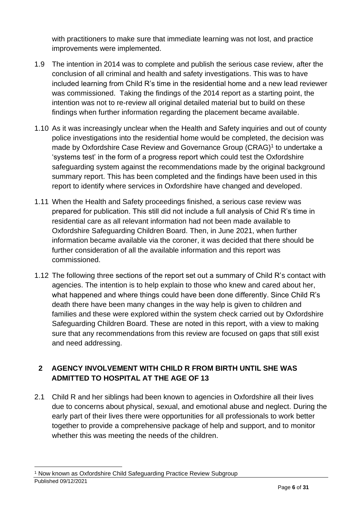with practitioners to make sure that immediate learning was not lost, and practice improvements were implemented.

- 1.9 The intention in 2014 was to complete and publish the serious case review, after the conclusion of all criminal and health and safety investigations. This was to have included learning from Child R's time in the residential home and a new lead reviewer was commissioned. Taking the findings of the 2014 report as a starting point, the intention was not to re-review all original detailed material but to build on these findings when further information regarding the placement became available.
- 1.10 As it was increasingly unclear when the Health and Safety inquiries and out of county police investigations into the residential home would be completed, the decision was made by Oxfordshire Case Review and Governance Group (CRAG)<sup>1</sup> to undertake a 'systems test' in the form of a progress report which could test the Oxfordshire safeguarding system against the recommendations made by the original background summary report. This has been completed and the findings have been used in this report to identify where services in Oxfordshire have changed and developed.
- 1.11 When the Health and Safety proceedings finished, a serious case review was prepared for publication. This still did not include a full analysis of Chid R's time in residential care as all relevant information had not been made available to Oxfordshire Safeguarding Children Board. Then, in June 2021, when further information became available via the coroner, it was decided that there should be further consideration of all the available information and this report was commissioned.
- 1.12 The following three sections of the report set out a summary of Child R's contact with agencies. The intention is to help explain to those who knew and cared about her, what happened and where things could have been done differently. Since Child R's death there have been many changes in the way help is given to children and families and these were explored within the system check carried out by Oxfordshire Safeguarding Children Board. These are noted in this report, with a view to making sure that any recommendations from this review are focused on gaps that still exist and need addressing.

#### <span id="page-5-0"></span>**2 AGENCY INVOLVEMENT WITH CHILD R FROM BIRTH UNTIL SHE WAS ADMITTED TO HOSPITAL AT THE AGE OF 13**

2.1 Child R and her siblings had been known to agencies in Oxfordshire all their lives due to concerns about physical, sexual, and emotional abuse and neglect. During the early part of their lives there were opportunities for all professionals to work better together to provide a comprehensive package of help and support, and to monitor whether this was meeting the needs of the children.

Published 09/12/2021 <sup>1</sup> Now known as Oxfordshire Child Safeguarding Practice Review Subgroup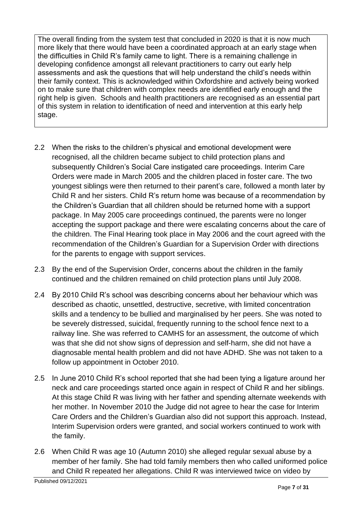The overall finding from the system test that concluded in 2020 is that it is now much more likely that there would have been a coordinated approach at an early stage when the difficulties in Child R's family came to light. There is a remaining challenge in developing confidence amongst all relevant practitioners to carry out early help assessments and ask the questions that will help understand the child's needs within their family context. This is acknowledged within Oxfordshire and actively being worked on to make sure that children with complex needs are identified early enough and the right help is given. Schools and health practitioners are recognised as an essential part of this system in relation to identification of need and intervention at this early help stage.

- 2.2 When the risks to the children's physical and emotional development were recognised, all the children became subject to child protection plans and subsequently Children's Social Care instigated care proceedings. Interim Care Orders were made in March 2005 and the children placed in foster care. The two youngest siblings were then returned to their parent's care, followed a month later by Child R and her sisters. Child R's return home was because of a recommendation by the Children's Guardian that all children should be returned home with a support package. In May 2005 care proceedings continued, the parents were no longer accepting the support package and there were escalating concerns about the care of the children. The Final Hearing took place in May 2006 and the court agreed with the recommendation of the Children's Guardian for a Supervision Order with directions for the parents to engage with support services.
- 2.3 By the end of the Supervision Order, concerns about the children in the family continued and the children remained on child protection plans until July 2008.
- 2.4 By 2010 Child R's school was describing concerns about her behaviour which was described as chaotic, unsettled, destructive, secretive, with limited concentration skills and a tendency to be bullied and marginalised by her peers. She was noted to be severely distressed, suicidal, frequently running to the school fence next to a railway line. She was referred to CAMHS for an assessment, the outcome of which was that she did not show signs of depression and self-harm, she did not have a diagnosable mental health problem and did not have ADHD. She was not taken to a follow up appointment in October 2010.
- 2.5 In June 2010 Child R's school reported that she had been tying a ligature around her neck and care proceedings started once again in respect of Child R and her siblings. At this stage Child R was living with her father and spending alternate weekends with her mother. In November 2010 the Judge did not agree to hear the case for Interim Care Orders and the Children's Guardian also did not support this approach. Instead, Interim Supervision orders were granted, and social workers continued to work with the family.
- 2.6 When Child R was age 10 (Autumn 2010) she alleged regular sexual abuse by a member of her family. She had told family members then who called uniformed police and Child R repeated her allegations. Child R was interviewed twice on video by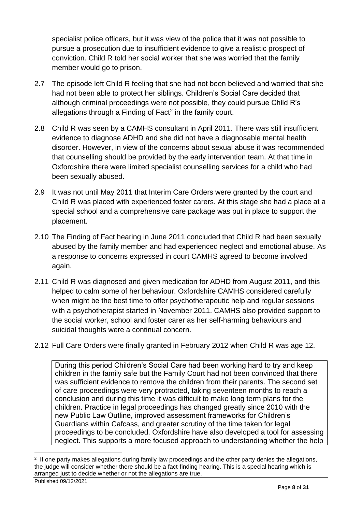specialist police officers, but it was view of the police that it was not possible to pursue a prosecution due to insufficient evidence to give a realistic prospect of conviction. Child R told her social worker that she was worried that the family member would go to prison.

- 2.7 The episode left Child R feeling that she had not been believed and worried that she had not been able to protect her siblings. Children's Social Care decided that although criminal proceedings were not possible, they could pursue Child R's allegations through a Finding of Fact<sup>2</sup> in the family court.
- 2.8 Child R was seen by a CAMHS consultant in April 2011. There was still insufficient evidence to diagnose ADHD and she did not have a diagnosable mental health disorder. However, in view of the concerns about sexual abuse it was recommended that counselling should be provided by the early intervention team. At that time in Oxfordshire there were limited specialist counselling services for a child who had been sexually abused.
- 2.9 It was not until May 2011 that Interim Care Orders were granted by the court and Child R was placed with experienced foster carers. At this stage she had a place at a special school and a comprehensive care package was put in place to support the placement.
- 2.10 The Finding of Fact hearing in June 2011 concluded that Child R had been sexually abused by the family member and had experienced neglect and emotional abuse. As a response to concerns expressed in court CAMHS agreed to become involved again.
- 2.11 Child R was diagnosed and given medication for ADHD from August 2011, and this helped to calm some of her behaviour. Oxfordshire CAMHS considered carefully when might be the best time to offer psychotherapeutic help and regular sessions with a psychotherapist started in November 2011. CAMHS also provided support to the social worker, school and foster carer as her self-harming behaviours and suicidal thoughts were a continual concern.
- 2.12 Full Care Orders were finally granted in February 2012 when Child R was age 12.

During this period Children's Social Care had been working hard to try and keep children in the family safe but the Family Court had not been convinced that there was sufficient evidence to remove the children from their parents. The second set of care proceedings were very protracted, taking seventeen months to reach a conclusion and during this time it was difficult to make long term plans for the children. Practice in legal proceedings has changed greatly since 2010 with the new Public Law Outline, improved assessment frameworks for Children's Guardians within Cafcass, and greater scrutiny of the time taken for legal proceedings to be concluded. Oxfordshire have also developed a tool for assessing neglect. This supports a more focused approach to understanding whether the help

<sup>&</sup>lt;sup>2</sup> If one party makes allegations during family law proceedings and the other party denies the allegations, the judge will consider whether there should be a fact-finding hearing. This is a special hearing which is arranged just to decide whether or not the allegations are true.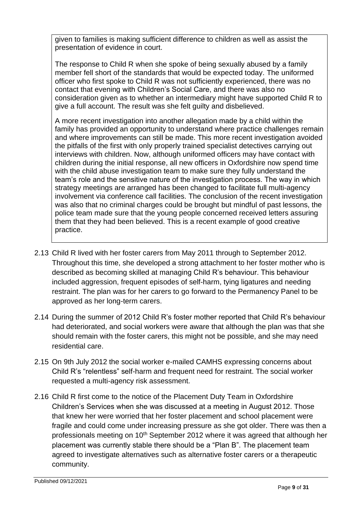given to families is making sufficient difference to children as well as assist the presentation of evidence in court.

The response to Child R when she spoke of being sexually abused by a family member fell short of the standards that would be expected today. The uniformed officer who first spoke to Child R was not sufficiently experienced, there was no contact that evening with Children's Social Care, and there was also no consideration given as to whether an intermediary might have supported Child R to give a full account. The result was she felt guilty and disbelieved.

A more recent investigation into another allegation made by a child within the family has provided an opportunity to understand where practice challenges remain and where improvements can still be made. This more recent investigation avoided the pitfalls of the first with only properly trained specialist detectives carrying out interviews with children. Now, although uniformed officers may have contact with children during the initial response, all new officers in Oxfordshire now spend time with the child abuse investigation team to make sure they fully understand the team's role and the sensitive nature of the investigation process. The way in which strategy meetings are arranged has been changed to facilitate full multi-agency involvement via conference call facilities. The conclusion of the recent investigation was also that no criminal charges could be brought but mindful of past lessons, the police team made sure that the young people concerned received letters assuring them that they had been believed. This is a recent example of good creative practice.

- 2.13 Child R lived with her foster carers from May 2011 through to September 2012. Throughout this time, she developed a strong attachment to her foster mother who is described as becoming skilled at managing Child R's behaviour. This behaviour included aggression, frequent episodes of self-harm, tying ligatures and needing restraint. The plan was for her carers to go forward to the Permanency Panel to be approved as her long-term carers.
- 2.14 During the summer of 2012 Child R's foster mother reported that Child R's behaviour had deteriorated, and social workers were aware that although the plan was that she should remain with the foster carers, this might not be possible, and she may need residential care.
- 2.15 On 9th July 2012 the social worker e-mailed CAMHS expressing concerns about Child R's "relentless" self-harm and frequent need for restraint. The social worker requested a multi-agency risk assessment.
- 2.16 Child R first come to the notice of the Placement Duty Team in Oxfordshire Children's Services when she was discussed at a meeting in August 2012. Those that knew her were worried that her foster placement and school placement were fragile and could come under increasing pressure as she got older. There was then a professionals meeting on 10<sup>th</sup> September 2012 where it was agreed that although her placement was currently stable there should be a "Plan B". The placement team agreed to investigate alternatives such as alternative foster carers or a therapeutic community.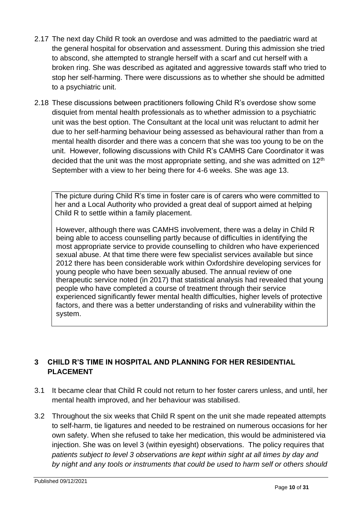- 2.17 The next day Child R took an overdose and was admitted to the paediatric ward at the general hospital for observation and assessment. During this admission she tried to abscond, she attempted to strangle herself with a scarf and cut herself with a broken ring. She was described as agitated and aggressive towards staff who tried to stop her self-harming. There were discussions as to whether she should be admitted to a psychiatric unit.
- 2.18 These discussions between practitioners following Child R's overdose show some disquiet from mental health professionals as to whether admission to a psychiatric unit was the best option. The Consultant at the local unit was reluctant to admit her due to her self-harming behaviour being assessed as behavioural rather than from a mental health disorder and there was a concern that she was too young to be on the unit. However, following discussions with Child R's CAMHS Care Coordinator it was decided that the unit was the most appropriate setting, and she was admitted on  $12<sup>th</sup>$ September with a view to her being there for 4-6 weeks. She was age 13.

The picture during Child R's time in foster care is of carers who were committed to her and a Local Authority who provided a great deal of support aimed at helping Child R to settle within a family placement.

However, although there was CAMHS involvement, there was a delay in Child R being able to access counselling partly because of difficulties in identifying the most appropriate service to provide counselling to children who have experienced sexual abuse. At that time there were few specialist services available but since 2012 there has been considerable work within Oxfordshire developing services for young people who have been sexually abused. The annual review of one therapeutic service noted (in 2017) that statistical analysis had revealed that young people who have completed a course of treatment through their service experienced significantly fewer mental health difficulties, higher levels of protective factors, and there was a better understanding of risks and vulnerability within the system.

#### <span id="page-9-0"></span>**3 CHILD R'S TIME IN HOSPITAL AND PLANNING FOR HER RESIDENTIAL PLACEMENT**

- 3.1 It became clear that Child R could not return to her foster carers unless, and until, her mental health improved, and her behaviour was stabilised.
- 3.2 Throughout the six weeks that Child R spent on the unit she made repeated attempts to self-harm, tie ligatures and needed to be restrained on numerous occasions for her own safety. When she refused to take her medication, this would be administered via injection. She was on level 3 (within evesight) observations. The policy requires that *patients subject to level 3 observations are kept within sight at all times by day and by night and any tools or instruments that could be used to harm self or others should*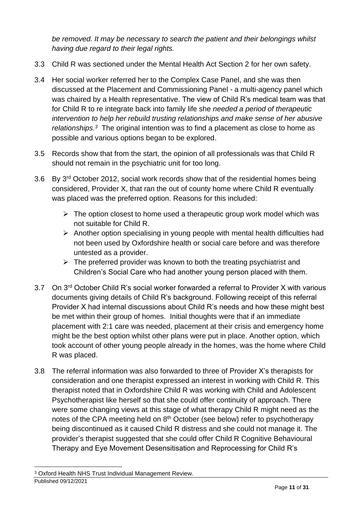*be removed. It may be necessary to search the patient and their belongings whilst having due regard to their legal rights.*

- 3.3 Child R was sectioned under the Mental Health Act Section 2 for her own safety.
- 3.4 Her social worker referred her to the Complex Case Panel, and she was then discussed at the Placement and Commissioning Panel - a multi-agency panel which was chaired by a Health representative. The view of Child R's medical team was that for Child R to re integrate back into family life she *needed a period of therapeutic intervention to help her rebuild trusting relationships and make sense of her abusive relationships.<sup>3</sup>* The original intention was to find a placement as close to home as possible and various options began to be explored.
- 3.5 Records show that from the start, the opinion of all professionals was that Child R should not remain in the psychiatric unit for too long.
- 3.6 By 3rd October 2012, social work records show that of the residential homes being considered, Provider X, that ran the out of county home where Child R eventually was placed was the preferred option. Reasons for this included:
	- $\triangleright$  The option closest to home used a therapeutic group work model which was not suitable for Child R.
	- ➢ Another option specialising in young people with mental health difficulties had not been used by Oxfordshire health or social care before and was therefore untested as a provider.
	- $\triangleright$  The preferred provider was known to both the treating psychiatrist and Children's Social Care who had another young person placed with them.
- 3.7 On 3<sup>rd</sup> October Child R's social worker forwarded a referral to Provider X with various documents giving details of Child R's background. Following receipt of this referral Provider X had internal discussions about Child R's needs and how these might best be met within their group of homes. Initial thoughts were that if an immediate placement with 2:1 care was needed, placement at their crisis and emergency home might be the best option whilst other plans were put in place. Another option, which took account of other young people already in the homes, was the home where Child R was placed.
- 3.8 The referral information was also forwarded to three of Provider X's therapists for consideration and one therapist expressed an interest in working with Child R. This therapist noted that in Oxfordshire Child R was working with Child and Adolescent Psychotherapist like herself so that she could offer continuity of approach. There were some changing views at this stage of what therapy Child R might need as the notes of the CPA meeting held on  $8<sup>th</sup>$  October (see below) refer to psychotherapy being discontinued as it caused Child R distress and she could not manage it. The provider's therapist suggested that she could offer Child R Cognitive Behavioural Therapy and Eye Movement Desensitisation and Reprocessing for Child R's

Published 09/12/2021 <sup>3</sup> Oxford Health NHS Trust Individual Management Review.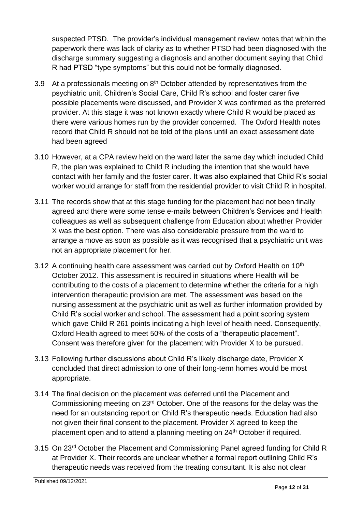suspected PTSD. The provider's individual management review notes that within the paperwork there was lack of clarity as to whether PTSD had been diagnosed with the discharge summary suggesting a diagnosis and another document saying that Child R had PTSD "type symptoms" but this could not be formally diagnosed.

- 3.9 At a professionals meeting on  $8<sup>th</sup>$  October attended by representatives from the psychiatric unit, Children's Social Care, Child R's school and foster carer five possible placements were discussed, and Provider X was confirmed as the preferred provider. At this stage it was not known exactly where Child R would be placed as there were various homes run by the provider concerned. The Oxford Health notes record that Child R should not be told of the plans until an exact assessment date had been agreed
- 3.10 However, at a CPA review held on the ward later the same day which included Child R, the plan was explained to Child R including the intention that she would have contact with her family and the foster carer. It was also explained that Child R's social worker would arrange for staff from the residential provider to visit Child R in hospital.
- 3.11 The records show that at this stage funding for the placement had not been finally agreed and there were some tense e-mails between Children's Services and Health colleagues as well as subsequent challenge from Education about whether Provider X was the best option. There was also considerable pressure from the ward to arrange a move as soon as possible as it was recognised that a psychiatric unit was not an appropriate placement for her.
- 3.12 A continuing health care assessment was carried out by Oxford Health on  $10<sup>th</sup>$ October 2012. This assessment is required in situations where Health will be contributing to the costs of a placement to determine whether the criteria for a high intervention therapeutic provision are met. The assessment was based on the nursing assessment at the psychiatric unit as well as further information provided by Child R's social worker and school. The assessment had a point scoring system which gave Child R 261 points indicating a high level of health need. Consequently, Oxford Health agreed to meet 50% of the costs of a "therapeutic placement". Consent was therefore given for the placement with Provider X to be pursued.
- 3.13 Following further discussions about Child R's likely discharge date, Provider X concluded that direct admission to one of their long-term homes would be most appropriate.
- 3.14 The final decision on the placement was deferred until the Placement and Commissioning meeting on 23rd October. One of the reasons for the delay was the need for an outstanding report on Child R's therapeutic needs. Education had also not given their final consent to the placement. Provider X agreed to keep the placement open and to attend a planning meeting on 24<sup>th</sup> October if required.
- 3.15 On 23<sup>rd</sup> October the Placement and Commissioning Panel agreed funding for Child R at Provider X. Their records are unclear whether a formal report outlining Child R's therapeutic needs was received from the treating consultant. It is also not clear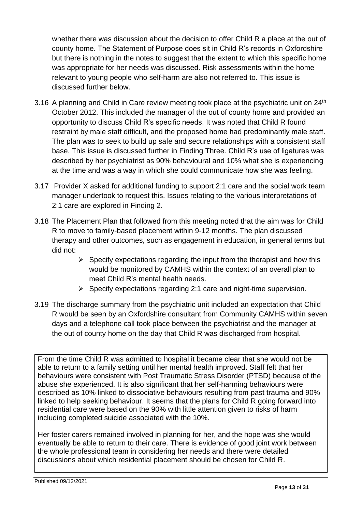whether there was discussion about the decision to offer Child R a place at the out of county home. The Statement of Purpose does sit in Child R's records in Oxfordshire but there is nothing in the notes to suggest that the extent to which this specific home was appropriate for her needs was discussed. Risk assessments within the home relevant to young people who self-harm are also not referred to. This issue is discussed further below.

- 3.16 A planning and Child in Care review meeting took place at the psychiatric unit on 24<sup>th</sup> October 2012. This included the manager of the out of county home and provided an opportunity to discuss Child R's specific needs. It was noted that Child R found restraint by male staff difficult, and the proposed home had predominantly male staff. The plan was to seek to build up safe and secure relationships with a consistent staff base. This issue is discussed further in Finding Three. Child R's use of ligatures was described by her psychiatrist as 90% behavioural and 10% what she is experiencing at the time and was a way in which she could communicate how she was feeling.
- 3.17 Provider X asked for additional funding to support 2:1 care and the social work team manager undertook to request this. Issues relating to the various interpretations of 2:1 care are explored in Finding 2.
- 3.18 The Placement Plan that followed from this meeting noted that the aim was for Child R to move to family-based placement within 9-12 months. The plan discussed therapy and other outcomes, such as engagement in education, in general terms but did not:
	- $\triangleright$  Specify expectations regarding the input from the therapist and how this would be monitored by CAMHS within the context of an overall plan to meet Child R's mental health needs.
	- $\triangleright$  Specify expectations regarding 2:1 care and night-time supervision.
- 3.19 The discharge summary from the psychiatric unit included an expectation that Child R would be seen by an Oxfordshire consultant from Community CAMHS within seven days and a telephone call took place between the psychiatrist and the manager at the out of county home on the day that Child R was discharged from hospital.

From the time Child R was admitted to hospital it became clear that she would not be able to return to a family setting until her mental health improved. Staff felt that her behaviours were consistent with Post Traumatic Stress Disorder (PTSD) because of the abuse she experienced. It is also significant that her self-harming behaviours were described as 10% linked to dissociative behaviours resulting from past trauma and 90% linked to help seeking behaviour. It seems that the plans for Child R going forward into residential care were based on the 90% with little attention given to risks of harm including completed suicide associated with the 10%.

Her foster carers remained involved in planning for her, and the hope was she would eventually be able to return to their care. There is evidence of good joint work between the whole professional team in considering her needs and there were detailed discussions about which residential placement should be chosen for Child R.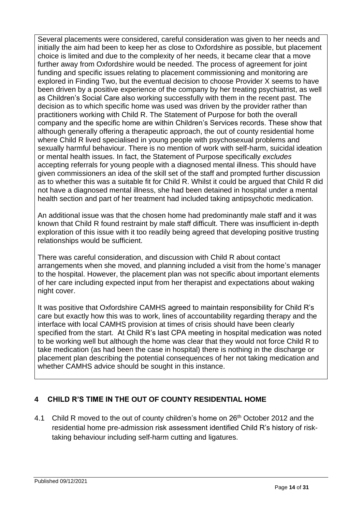Several placements were considered, careful consideration was given to her needs and initially the aim had been to keep her as close to Oxfordshire as possible, but placement choice is limited and due to the complexity of her needs, it became clear that a move further away from Oxfordshire would be needed. The process of agreement for joint funding and specific issues relating to placement commissioning and monitoring are explored in Finding Two, but the eventual decision to choose Provider X seems to have been driven by a positive experience of the company by her treating psychiatrist, as well as Children's Social Care also working successfully with them in the recent past. The decision as to which specific home was used was driven by the provider rather than practitioners working with Child R. The Statement of Purpose for both the overall company and the specific home are within Children's Services records. These show that although generally offering a therapeutic approach, the out of county residential home where Child R lived specialised in young people with psychosexual problems and sexually harmful behaviour. There is no mention of work with self-harm, suicidal ideation or mental health issues. In fact, the Statement of Purpose specifically *excludes*  accepting referrals for young people with a diagnosed mental illness. This should have given commissioners an idea of the skill set of the staff and prompted further discussion as to whether this was a suitable fit for Child R. Whilst it could be argued that Child R did not have a diagnosed mental illness, she had been detained in hospital under a mental health section and part of her treatment had included taking antipsychotic medication.

An additional issue was that the chosen home had predominantly male staff and it was known that Child R found restraint by male staff difficult. There was insufficient in-depth exploration of this issue with it too readily being agreed that developing positive trusting relationships would be sufficient.

There was careful consideration, and discussion with Child R about contact arrangements when she moved, and planning included a visit from the home's manager to the hospital. However, the placement plan was not specific about important elements of her care including expected input from her therapist and expectations about waking night cover.

It was positive that Oxfordshire CAMHS agreed to maintain responsibility for Child R's care but exactly how this was to work, lines of accountability regarding therapy and the interface with local CAMHS provision at times of crisis should have been clearly specified from the start. At Child R's last CPA meeting in hospital medication was noted to be working well but although the home was clear that they would not force Child R to take medication (as had been the case in hospital) there is nothing in the discharge or placement plan describing the potential consequences of her not taking medication and whether CAMHS advice should be sought in this instance.

#### <span id="page-13-0"></span>**4 CHILD R'S TIME IN THE OUT OF COUNTY RESIDENTIAL HOME**

4.1 Child R moved to the out of county children's home on 26<sup>th</sup> October 2012 and the residential home pre-admission risk assessment identified Child R's history of risktaking behaviour including self-harm cutting and ligatures.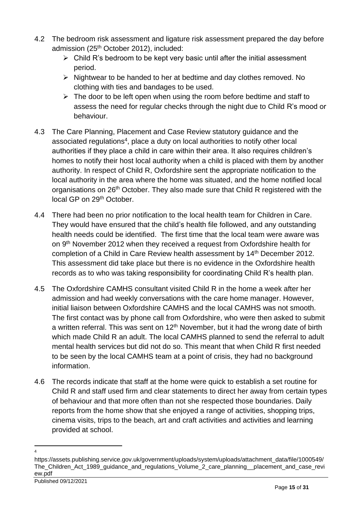- 4.2 The bedroom risk assessment and ligature risk assessment prepared the day before admission (25th October 2012), included:
	- $\triangleright$  Child R's bedroom to be kept very basic until after the initial assessment period.
	- ➢ Nightwear to be handed to her at bedtime and day clothes removed. No clothing with ties and bandages to be used.
	- $\triangleright$  The door to be left open when using the room before bedtime and staff to assess the need for regular checks through the night due to Child R's mood or behaviour.
- 4.3 The Care Planning, Placement and Case Review statutory guidance and the associated regulations<sup>4</sup>, place a duty on local authorities to notify other local authorities if they place a child in care within their area. It also requires children's homes to notify their host local authority when a child is placed with them by another authority. In respect of Child R, Oxfordshire sent the appropriate notification to the local authority in the area where the home was situated, and the home notified local organisations on 26<sup>th</sup> October. They also made sure that Child R registered with the local GP on 29<sup>th</sup> October.
- 4.4 There had been no prior notification to the local health team for Children in Care. They would have ensured that the child's health file followed, and any outstanding health needs could be identified. The first time that the local team were aware was on 9<sup>th</sup> November 2012 when they received a request from Oxfordshire health for completion of a Child in Care Review health assessment by 14<sup>th</sup> December 2012. This assessment did take place but there is no evidence in the Oxfordshire health records as to who was taking responsibility for coordinating Child R's health plan.
- 4.5 The Oxfordshire CAMHS consultant visited Child R in the home a week after her admission and had weekly conversations with the care home manager. However, initial liaison between Oxfordshire CAMHS and the local CAMHS was not smooth. The first contact was by phone call from Oxfordshire, who were then asked to submit a written referral. This was sent on  $12<sup>th</sup>$  November, but it had the wrong date of birth which made Child R an adult. The local CAMHS planned to send the referral to adult mental health services but did not do so. This meant that when Child R first needed to be seen by the local CAMHS team at a point of crisis, they had no background information.
- 4.6 The records indicate that staff at the home were quick to establish a set routine for Child R and staff used firm and clear statements to direct her away from certain types of behaviour and that more often than not she respected those boundaries. Daily reports from the home show that she enjoyed a range of activities, shopping trips, cinema visits, trips to the beach, art and craft activities and activities and learning provided at school.

<sup>4</sup>

https://assets.publishing.service.gov.uk/government/uploads/system/uploads/attachment\_data/file/1000549/ The\_Children\_Act\_1989\_guidance\_and\_regulations\_Volume\_2\_care\_planning\_\_placement\_and\_case\_revi ew.pdf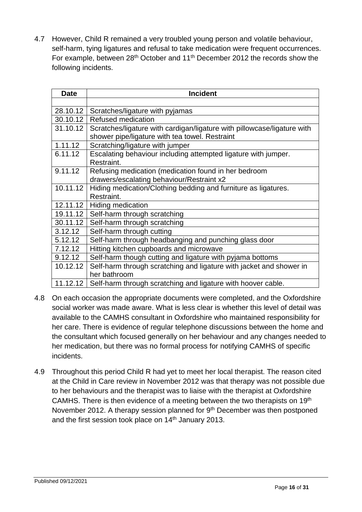4.7 However, Child R remained a very troubled young person and volatile behaviour, self-harm, tying ligatures and refusal to take medication were frequent occurrences. For example, between 28<sup>th</sup> October and 11<sup>th</sup> December 2012 the records show the following incidents.

| <b>Date</b> | <b>Incident</b>                                                                                                           |
|-------------|---------------------------------------------------------------------------------------------------------------------------|
|             |                                                                                                                           |
| 28.10.12    | Scratches/ligature with pyjamas                                                                                           |
| 30.10.12    | <b>Refused medication</b>                                                                                                 |
| 31.10.12    | Scratches/ligature with cardigan/ligature with pillowcase/ligature with<br>shower pipe/ligature with tea towel. Restraint |
| 1.11.12     | Scratching/ligature with jumper                                                                                           |
| 6.11.12     | Escalating behaviour including attempted ligature with jumper.<br>Restraint.                                              |
| 9.11.12     | Refusing medication (medication found in her bedroom                                                                      |
|             | drawers/escalating behaviour/Restraint x2                                                                                 |
| 10.11.12    | Hiding medication/Clothing bedding and furniture as ligatures.                                                            |
|             | Restraint.                                                                                                                |
| 12.11.12    | Hiding medication                                                                                                         |
| 19.11.12    | Self-harm through scratching                                                                                              |
| 30.11.12    | Self-harm through scratching                                                                                              |
| 3.12.12     | Self-harm through cutting                                                                                                 |
| 5.12.12     | Self-harm through headbanging and punching glass door                                                                     |
| 7.12.12     | Hitting kitchen cupboards and microwave                                                                                   |
| 9.12.12     | Self-harm though cutting and ligature with pyjama bottoms                                                                 |
| 10.12.12    | Self-harm through scratching and ligature with jacket and shower in                                                       |
|             | her bathroom                                                                                                              |
| 11.12.12    | Self-harm through scratching and ligature with hoover cable.                                                              |

- 4.8 On each occasion the appropriate documents were completed, and the Oxfordshire social worker was made aware. What is less clear is whether this level of detail was available to the CAMHS consultant in Oxfordshire who maintained responsibility for her care. There is evidence of regular telephone discussions between the home and the consultant which focused generally on her behaviour and any changes needed to her medication, but there was no formal process for notifying CAMHS of specific incidents.
- 4.9 Throughout this period Child R had yet to meet her local therapist. The reason cited at the Child in Care review in November 2012 was that therapy was not possible due to her behaviours and the therapist was to liaise with the therapist at Oxfordshire CAMHS. There is then evidence of a meeting between the two therapists on 19<sup>th</sup> November 2012. A therapy session planned for 9<sup>th</sup> December was then postponed and the first session took place on 14<sup>th</sup> January 2013.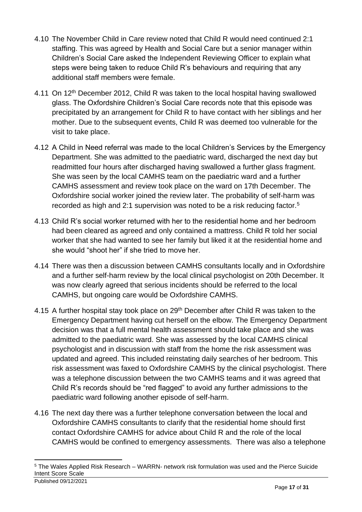- 4.10 The November Child in Care review noted that Child R would need continued 2:1 staffing. This was agreed by Health and Social Care but a senior manager within Children's Social Care asked the Independent Reviewing Officer to explain what steps were being taken to reduce Child R's behaviours and requiring that any additional staff members were female.
- 4.11 On 12th December 2012, Child R was taken to the local hospital having swallowed glass. The Oxfordshire Children's Social Care records note that this episode was precipitated by an arrangement for Child R to have contact with her siblings and her mother. Due to the subsequent events, Child R was deemed too vulnerable for the visit to take place.
- 4.12 A Child in Need referral was made to the local Children's Services by the Emergency Department. She was admitted to the paediatric ward, discharged the next day but readmitted four hours after discharged having swallowed a further glass fragment. She was seen by the local CAMHS team on the paediatric ward and a further CAMHS assessment and review took place on the ward on 17th December. The Oxfordshire social worker joined the review later. The probability of self-harm was recorded as high and 2:1 supervision was noted to be a risk reducing factor.<sup>5</sup>
- 4.13 Child R's social worker returned with her to the residential home and her bedroom had been cleared as agreed and only contained a mattress. Child R told her social worker that she had wanted to see her family but liked it at the residential home and she would "shoot her" if she tried to move her.
- 4.14 There was then a discussion between CAMHS consultants locally and in Oxfordshire and a further self-harm review by the local clinical psychologist on 20th December. It was now clearly agreed that serious incidents should be referred to the local CAMHS, but ongoing care would be Oxfordshire CAMHS.
- 4.15 A further hospital stay took place on 29<sup>th</sup> December after Child R was taken to the Emergency Department having cut herself on the elbow. The Emergency Department decision was that a full mental health assessment should take place and she was admitted to the paediatric ward. She was assessed by the local CAMHS clinical psychologist and in discussion with staff from the home the risk assessment was updated and agreed. This included reinstating daily searches of her bedroom. This risk assessment was faxed to Oxfordshire CAMHS by the clinical psychologist. There was a telephone discussion between the two CAMHS teams and it was agreed that Child R's records should be "red flagged" to avoid any further admissions to the paediatric ward following another episode of self-harm.
- 4.16 The next day there was a further telephone conversation between the local and Oxfordshire CAMHS consultants to clarify that the residential home should first contact Oxfordshire CAMHS for advice about Child R and the role of the local CAMHS would be confined to emergency assessments. There was also a telephone

<sup>5</sup> The Wales Applied Risk Research – WARRN- network risk formulation was used and the Pierce Suicide Intent Score Scale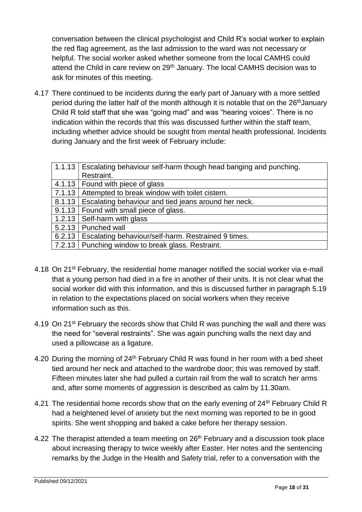conversation between the clinical psychologist and Child R's social worker to explain the red flag agreement, as the last admission to the ward was not necessary or helpful. The social worker asked whether someone from the local CAMHS could attend the Child in care review on 29<sup>th</sup> January. The local CAMHS decision was to ask for minutes of this meeting.

4.17 There continued to be incidents during the early part of January with a more settled period during the latter half of the month although it is notable that on the 26<sup>th</sup>January Child R told staff that she was "going mad" and was "hearing voices". There is no indication within the records that this was discussed further within the staff team, including whether advice should be sought from mental health professional. Incidents during January and the first week of February include:

|        | 1.1.13   Escalating behaviour self-harm though head banging and punching. |
|--------|---------------------------------------------------------------------------|
|        | Restraint.                                                                |
|        | 4.1.13   Found with piece of glass                                        |
| 7.1.13 | Attempted to break window with toilet cistern.                            |
| 8.1.13 | Escalating behaviour and tied jeans around her neck.                      |
|        | 9.1.13   Found with small piece of glass.                                 |
| 1.2.13 | Self-harm with glass                                                      |
|        | 5.2.13   Punched wall                                                     |
| 6.2.13 | Escalating behaviour/self-harm. Restrained 9 times.                       |
|        | 7.2.13 Punching window to break glass. Restraint.                         |
|        |                                                                           |

- 4.18 On 21<sup>st</sup> February, the residential home manager notified the social worker via e-mail that a young person had died in a fire in another of their units. It is not clear what the social worker did with this information, and this is discussed further in paragraph 5.19 in relation to the expectations placed on social workers when they receive information such as this.
- 4.19 On 21<sup>st</sup> February the records show that Child R was punching the wall and there was the need for "several restraints". She was again punching walls the next day and used a pillowcase as a ligature.
- 4.20 During the morning of  $24<sup>th</sup>$  February Child R was found in her room with a bed sheet tied around her neck and attached to the wardrobe door; this was removed by staff. Fifteen minutes later she had pulled a curtain rail from the wall to scratch her arms and, after some moments of aggression is described as calm by 11.30am.
- 4.21 The residential home records show that on the early evening of 24<sup>th</sup> February Child R had a heightened level of anxiety but the next morning was reported to be in good spirits. She went shopping and baked a cake before her therapy session.
- 4.22 The therapist attended a team meeting on 26<sup>th</sup> February and a discussion took place about increasing therapy to twice weekly after Easter. Her notes and the sentencing remarks by the Judge in the Health and Safety trial, refer to a conversation with the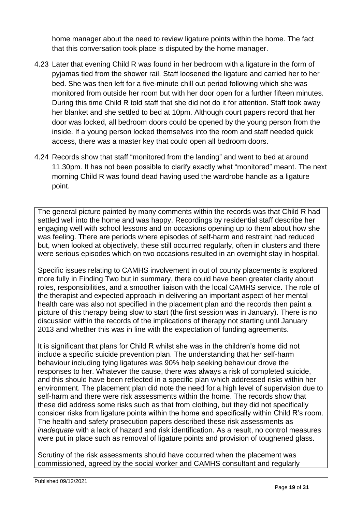home manager about the need to review ligature points within the home. The fact that this conversation took place is disputed by the home manager.

- 4.23 Later that evening Child R was found in her bedroom with a ligature in the form of pyjamas tied from the shower rail. Staff loosened the ligature and carried her to her bed. She was then left for a five-minute chill out period following which she was monitored from outside her room but with her door open for a further fifteen minutes. During this time Child R told staff that she did not do it for attention. Staff took away her blanket and she settled to bed at 10pm. Although court papers record that her door was locked, all bedroom doors could be opened by the young person from the inside. If a young person locked themselves into the room and staff needed quick access, there was a master key that could open all bedroom doors.
- 4.24 Records show that staff "monitored from the landing" and went to bed at around 11.30pm. It has not been possible to clarify exactly what "monitored" meant. The next morning Child R was found dead having used the wardrobe handle as a ligature point.

The general picture painted by many comments within the records was that Child R had settled well into the home and was happy. Recordings by residential staff describe her engaging well with school lessons and on occasions opening up to them about how she was feeling. There are periods where episodes of self-harm and restraint had reduced but, when looked at objectively, these still occurred regularly, often in clusters and there were serious episodes which on two occasions resulted in an overnight stay in hospital.

Specific issues relating to CAMHS involvement in out of county placements is explored more fully in Finding Two but in summary, there could have been greater clarity about roles, responsibilities, and a smoother liaison with the local CAMHS service. The role of the therapist and expected approach in delivering an important aspect of her mental health care was also not specified in the placement plan and the records then paint a picture of this therapy being slow to start (the first session was in January). There is no discussion within the records of the implications of therapy not starting until January 2013 and whether this was in line with the expectation of funding agreements.

It is significant that plans for Child R whilst she was in the children's home did not include a specific suicide prevention plan. The understanding that her self-harm behaviour including tying ligatures was 90% help seeking behaviour drove the responses to her. Whatever the cause, there was always a risk of completed suicide, and this should have been reflected in a specific plan which addressed risks within her environment. The placement plan did note the need for a high level of supervision due to self-harm and there were risk assessments within the home. The records show that these did address some risks such as that from clothing, but they did not specifically consider risks from ligature points within the home and specifically within Child R's room. The health and safety prosecution papers described these risk assessments as *inadequate* with a lack of hazard and risk identification. As a result, no control measures were put in place such as removal of ligature points and provision of toughened glass.

Scrutiny of the risk assessments should have occurred when the placement was commissioned, agreed by the social worker and CAMHS consultant and regularly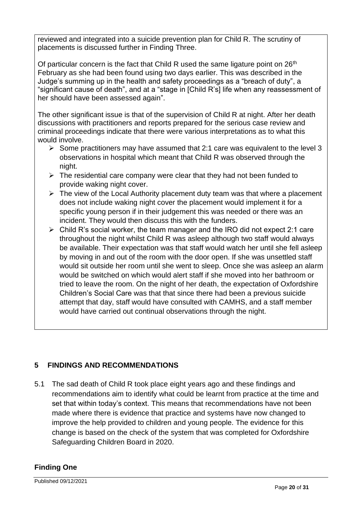reviewed and integrated into a suicide prevention plan for Child R. The scrutiny of placements is discussed further in Finding Three.

Of particular concern is the fact that Child R used the same ligature point on 26<sup>th</sup> February as she had been found using two days earlier. This was described in the Judge's summing up in the health and safety proceedings as a "breach of duty", a "significant cause of death", and at a "stage in [Child R's] life when any reassessment of her should have been assessed again".

The other significant issue is that of the supervision of Child R at night. After her death discussions with practitioners and reports prepared for the serious case review and criminal proceedings indicate that there were various interpretations as to what this would involve.

- $\triangleright$  Some practitioners may have assumed that 2:1 care was equivalent to the level 3 observations in hospital which meant that Child R was observed through the night.
- $\triangleright$  The residential care company were clear that they had not been funded to provide waking night cover.
- $\triangleright$  The view of the Local Authority placement duty team was that where a placement does not include waking night cover the placement would implement it for a specific young person if in their judgement this was needed or there was an incident. They would then discuss this with the funders.
- $\triangleright$  Child R's social worker, the team manager and the IRO did not expect 2:1 care throughout the night whilst Child R was asleep although two staff would always be available. Their expectation was that staff would watch her until she fell asleep by moving in and out of the room with the door open. If she was unsettled staff would sit outside her room until she went to sleep. Once she was asleep an alarm would be switched on which would alert staff if she moved into her bathroom or tried to leave the room. On the night of her death, the expectation of Oxfordshire Children's Social Care was that that since there had been a previous suicide attempt that day, staff would have consulted with CAMHS, and a staff member would have carried out continual observations through the night.

#### <span id="page-19-0"></span>**5 FINDINGS AND RECOMMENDATIONS**

5.1 The sad death of Child R took place eight years ago and these findings and recommendations aim to identify what could be learnt from practice at the time and set that within today's context. This means that recommendations have not been made where there is evidence that practice and systems have now changed to improve the help provided to children and young people. The evidence for this change is based on the check of the system that was completed for Oxfordshire Safeguarding Children Board in 2020.

#### **Finding One**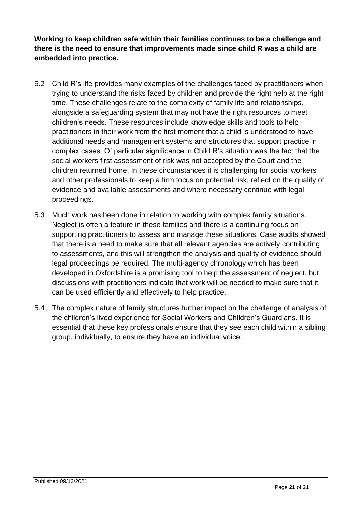**Working to keep children safe within their families continues to be a challenge and there is the need to ensure that improvements made since child R was a child are embedded into practice.** 

- 5.2 Child R's life provides many examples of the challenges faced by practitioners when trying to understand the risks faced by children and provide the right help at the right time. These challenges relate to the complexity of family life and relationships, alongside a safeguarding system that may not have the right resources to meet children's needs. These resources include knowledge skills and tools to help practitioners in their work from the first moment that a child is understood to have additional needs and management systems and structures that support practice in complex cases. Of particular significance in Child R's situation was the fact that the social workers first assessment of risk was not accepted by the Court and the children returned home. In these circumstances it is challenging for social workers and other professionals to keep a firm focus on potential risk, reflect on the quality of evidence and available assessments and where necessary continue with legal proceedings.
- 5.3 Much work has been done in relation to working with complex family situations. Neglect is often a feature in these families and there is a continuing focus on supporting practitioners to assess and manage these situations. Case audits showed that there is a need to make sure that all relevant agencies are actively contributing to assessments, and this will strengthen the analysis and quality of evidence should legal proceedings be required. The multi-agency chronology which has been developed in Oxfordshire is a promising tool to help the assessment of neglect, but discussions with practitioners indicate that work will be needed to make sure that it can be used efficiently and effectively to help practice.
- 5.4 The complex nature of family structures further impact on the challenge of analysis of the children's lived experience for Social Workers and Children's Guardians. It is essential that these key professionals ensure that they see each child within a sibling group, individually, to ensure they have an individual voice.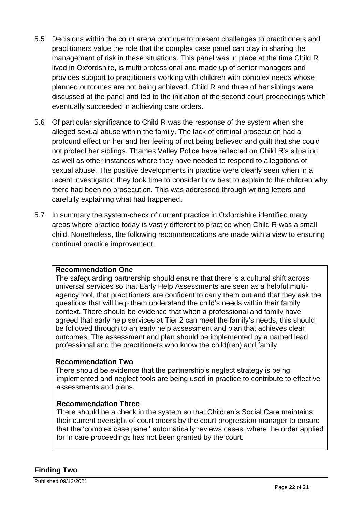- 5.5 Decisions within the court arena continue to present challenges to practitioners and practitioners value the role that the complex case panel can play in sharing the management of risk in these situations. This panel was in place at the time Child R lived in Oxfordshire, is multi professional and made up of senior managers and provides support to practitioners working with children with complex needs whose planned outcomes are not being achieved. Child R and three of her siblings were discussed at the panel and led to the initiation of the second court proceedings which eventually succeeded in achieving care orders.
- 5.6 Of particular significance to Child R was the response of the system when she alleged sexual abuse within the family. The lack of criminal prosecution had a profound effect on her and her feeling of not being believed and guilt that she could not protect her siblings. Thames Valley Police have reflected on Child R's situation as well as other instances where they have needed to respond to allegations of sexual abuse. The positive developments in practice were clearly seen when in a recent investigation they took time to consider how best to explain to the children why there had been no prosecution. This was addressed through writing letters and carefully explaining what had happened.
- 5.7 In summary the system-check of current practice in Oxfordshire identified many areas where practice today is vastly different to practice when Child R was a small child. Nonetheless, the following recommendations are made with a view to ensuring continual practice improvement.

#### **Recommendation One**

The safeguarding partnership should ensure that there is a cultural shift across universal services so that Early Help Assessments are seen as a helpful multiagency tool, that practitioners are confident to carry them out and that they ask the questions that will help them understand the child's needs within their family context. There should be evidence that when a professional and family have agreed that early help services at Tier 2 can meet the family's needs, this should be followed through to an early help assessment and plan that achieves clear outcomes. The assessment and plan should be implemented by a named lead professional and the practitioners who know the child(ren) and family

#### **Recommendation Two**

There should be evidence that the partnership's neglect strategy is being implemented and neglect tools are being used in practice to contribute to effective assessments and plans.

#### **Recommendation Three**

There should be a check in the system so that Children's Social Care maintains their current oversight of court orders by the court progression manager to ensure that the 'complex case panel' automatically reviews cases, where the order applied for in care proceedings has not been granted by the court.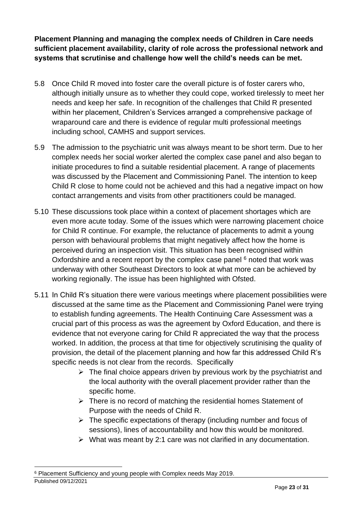**Placement Planning and managing the complex needs of Children in Care needs sufficient placement availability, clarity of role across the professional network and systems that scrutinise and challenge how well the child's needs can be met.** 

- 5.8 Once Child R moved into foster care the overall picture is of foster carers who, although initially unsure as to whether they could cope, worked tirelessly to meet her needs and keep her safe. In recognition of the challenges that Child R presented within her placement, Children's Services arranged a comprehensive package of wraparound care and there is evidence of regular multi professional meetings including school, CAMHS and support services.
- 5.9 The admission to the psychiatric unit was always meant to be short term. Due to her complex needs her social worker alerted the complex case panel and also began to initiate procedures to find a suitable residential placement. A range of placements was discussed by the Placement and Commissioning Panel. The intention to keep Child R close to home could not be achieved and this had a negative impact on how contact arrangements and visits from other practitioners could be managed.
- 5.10 These discussions took place within a context of placement shortages which are even more acute today. Some of the issues which were narrowing placement choice for Child R continue. For example, the reluctance of placements to admit a young person with behavioural problems that might negatively affect how the home is perceived during an inspection visit. This situation has been recognised within Oxfordshire and a recent report by the complex case panel  $6$  noted that work was underway with other Southeast Directors to look at what more can be achieved by working regionally. The issue has been highlighted with Ofsted.
- 5.11 In Child R's situation there were various meetings where placement possibilities were discussed at the same time as the Placement and Commissioning Panel were trying to establish funding agreements. The Health Continuing Care Assessment was a crucial part of this process as was the agreement by Oxford Education, and there is evidence that not everyone caring for Child R appreciated the way that the process worked. In addition, the process at that time for objectively scrutinising the quality of provision, the detail of the placement planning and how far this addressed Child R's specific needs is not clear from the records. Specifically
	- ➢ The final choice appears driven by previous work by the psychiatrist and the local authority with the overall placement provider rather than the specific home.
	- $\triangleright$  There is no record of matching the residential homes Statement of Purpose with the needs of Child R.
	- $\triangleright$  The specific expectations of therapy (including number and focus of sessions), lines of accountability and how this would be monitored.
	- $\triangleright$  What was meant by 2:1 care was not clarified in any documentation.

Published 09/12/2021 <sup>6</sup> Placement Sufficiency and young people with Complex needs May 2019.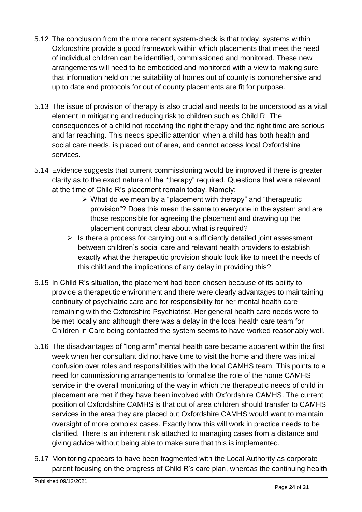- 5.12 The conclusion from the more recent system-check is that today, systems within Oxfordshire provide a good framework within which placements that meet the need of individual children can be identified, commissioned and monitored. These new arrangements will need to be embedded and monitored with a view to making sure that information held on the suitability of homes out of county is comprehensive and up to date and protocols for out of county placements are fit for purpose.
- 5.13 The issue of provision of therapy is also crucial and needs to be understood as a vital element in mitigating and reducing risk to children such as Child R. The consequences of a child not receiving the right therapy and the right time are serious and far reaching. This needs specific attention when a child has both health and social care needs, is placed out of area, and cannot access local Oxfordshire services.
- 5.14 Evidence suggests that current commissioning would be improved if there is greater clarity as to the exact nature of the "therapy" required. Questions that were relevant at the time of Child R's placement remain today. Namely:
	- ➢ What do we mean by a "placement with therapy" and "therapeutic provision"? Does this mean the same to everyone in the system and are those responsible for agreeing the placement and drawing up the placement contract clear about what is required?
	- $\triangleright$  Is there a process for carrying out a sufficiently detailed joint assessment between children's social care and relevant health providers to establish exactly what the therapeutic provision should look like to meet the needs of this child and the implications of any delay in providing this?
- 5.15 In Child R's situation, the placement had been chosen because of its ability to provide a therapeutic environment and there were clearly advantages to maintaining continuity of psychiatric care and for responsibility for her mental health care remaining with the Oxfordshire Psychiatrist. Her general health care needs were to be met locally and although there was a delay in the local health care team for Children in Care being contacted the system seems to have worked reasonably well.
- 5.16 The disadvantages of "long arm" mental health care became apparent within the first week when her consultant did not have time to visit the home and there was initial confusion over roles and responsibilities with the local CAMHS team. This points to a need for commissioning arrangements to formalise the role of the home CAMHS service in the overall monitoring of the way in which the therapeutic needs of child in placement are met if they have been involved with Oxfordshire CAMHS. The current position of Oxfordshire CAMHS is that out of area children should transfer to CAMHS services in the area they are placed but Oxfordshire CAMHS would want to maintain oversight of more complex cases. Exactly how this will work in practice needs to be clarified. There is an inherent risk attached to managing cases from a distance and giving advice without being able to make sure that this is implemented.
- 5.17 Monitoring appears to have been fragmented with the Local Authority as corporate parent focusing on the progress of Child R's care plan, whereas the continuing health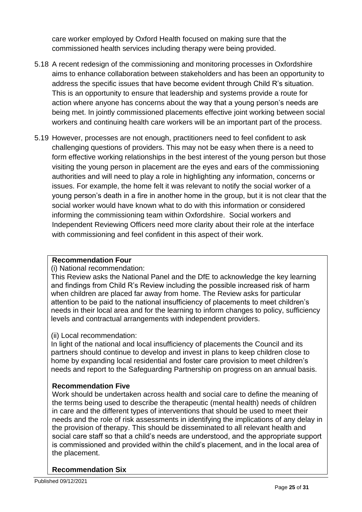care worker employed by Oxford Health focused on making sure that the commissioned health services including therapy were being provided.

- 5.18 A recent redesign of the commissioning and monitoring processes in Oxfordshire aims to enhance collaboration between stakeholders and has been an opportunity to address the specific issues that have become evident through Child R's situation. This is an opportunity to ensure that leadership and systems provide a route for action where anyone has concerns about the way that a young person's needs are being met. In jointly commissioned placements effective joint working between social workers and continuing health care workers will be an important part of the process.
- 5.19 However, processes are not enough, practitioners need to feel confident to ask challenging questions of providers. This may not be easy when there is a need to form effective working relationships in the best interest of the young person but those visiting the young person in placement are the eyes and ears of the commissioning authorities and will need to play a role in highlighting any information, concerns or issues. For example, the home felt it was relevant to notify the social worker of a young person's death in a fire in another home in the group, but it is not clear that the social worker would have known what to do with this information or considered informing the commissioning team within Oxfordshire. Social workers and Independent Reviewing Officers need more clarity about their role at the interface with commissioning and feel confident in this aspect of their work.

#### **Recommendation Four**

#### (i) National recommendation:

This Review asks the National Panel and the DfE to acknowledge the key learning and findings from Child R's Review including the possible increased risk of harm when children are placed far away from home. The Review asks for particular attention to be paid to the national insufficiency of placements to meet children's needs in their local area and for the learning to inform changes to policy, sufficiency levels and contractual arrangements with independent providers.

#### (ii) Local recommendation:

In light of the national and local insufficiency of placements the Council and its partners should continue to develop and invest in plans to keep children close to home by expanding local residential and foster care provision to meet children's needs and report to the Safeguarding Partnership on progress on an annual basis.

#### **Recommendation Five**

Work should be undertaken across health and social care to define the meaning of the terms being used to describe the therapeutic (mental health) needs of children in care and the different types of interventions that should be used to meet their needs and the role of risk assessments in identifying the implications of any delay in the provision of therapy. This should be disseminated to all relevant health and social care staff so that a child's needs are understood, and the appropriate support is commissioned and provided within the child's placement, and in the local area of the placement.

#### **Recommendation Six**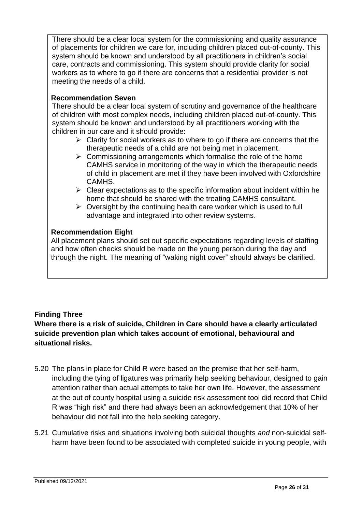There should be a clear local system for the commissioning and quality assurance of placements for children we care for, including children placed out-of-county. This system should be known and understood by all practitioners in children's social care, contracts and commissioning. This system should provide clarity for social workers as to where to go if there are concerns that a residential provider is not meeting the needs of a child.

#### **Recommendation Seven**

There should be a clear local system of scrutiny and governance of the healthcare of children with most complex needs, including children placed out-of-county. This system should be known and understood by all practitioners working with the children in our care and it should provide:

- $\triangleright$  Clarity for social workers as to where to go if there are concerns that the therapeutic needs of a child are not being met in placement.
- $\triangleright$  Commissioning arrangements which formalise the role of the home CAMHS service in monitoring of the way in which the therapeutic needs of child in placement are met if they have been involved with Oxfordshire CAMHS.
- $\triangleright$  Clear expectations as to the specific information about incident within he home that should be shared with the treating CAMHS consultant.
- $\triangleright$  Oversight by the continuing health care worker which is used to full advantage and integrated into other review systems.

#### **Recommendation Eight**

All placement plans should set out specific expectations regarding levels of staffing and how often checks should be made on the young person during the day and through the night. The meaning of "waking night cover" should always be clarified.

#### **Finding Three**

**Where there is a risk of suicide, Children in Care should have a clearly articulated suicide prevention plan which takes account of emotional, behavioural and situational risks.** 

- 5.20 The plans in place for Child R were based on the premise that her self-harm, including the tying of ligatures was primarily help seeking behaviour, designed to gain attention rather than actual attempts to take her own life. However, the assessment at the out of county hospital using a suicide risk assessment tool did record that Child R was "high risk" and there had always been an acknowledgement that 10% of her behaviour did not fall into the help seeking category.
- 5.21 Cumulative risks and situations involving both suicidal thoughts *and* non-suicidal selfharm have been found to be associated with completed suicide in young people, with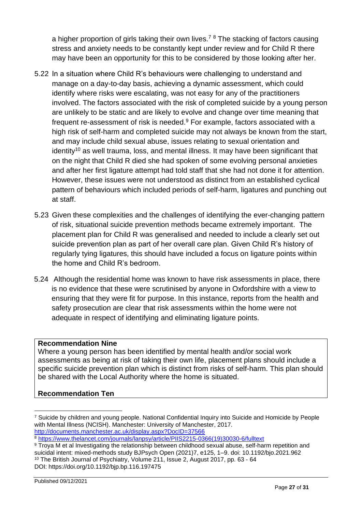a higher proportion of girls taking their own lives.<sup>78</sup> The stacking of factors causing stress and anxiety needs to be constantly kept under review and for Child R there may have been an opportunity for this to be considered by those looking after her.

- 5.22 In a situation where Child R's behaviours were challenging to understand and manage on a day-to-day basis, achieving a dynamic assessment, which could identify where risks were escalating, was not easy for any of the practitioners involved. The factors associated with the risk of completed suicide by a young person are unlikely to be static and are likely to evolve and change over time meaning that frequent re-assessment of risk is needed.<sup>9</sup> For example, factors associated with a high risk of self-harm and completed suicide may not always be known from the start, and may include child sexual abuse, issues relating to sexual orientation and  $i$ dentity<sup>10</sup> as well trauma, loss, and mental illness. It may have been significant that on the night that Child R died she had spoken of some evolving personal anxieties and after her first ligature attempt had told staff that she had not done it for attention. However, these issues were not understood as distinct from an established cyclical pattern of behaviours which included periods of self-harm, ligatures and punching out at staff.
- 5.23 Given these complexities and the challenges of identifying the ever-changing pattern of risk, situational suicide prevention methods became extremely important. The placement plan for Child R was generalised and needed to include a clearly set out suicide prevention plan as part of her overall care plan. Given Child R's history of regularly tying ligatures, this should have included a focus on ligature points within the home and Child R's bedroom.
- 5.24 Although the residential home was known to have risk assessments in place, there is no evidence that these were scrutinised by anyone in Oxfordshire with a view to ensuring that they were fit for purpose. In this instance, reports from the health and safety prosecution are clear that risk assessments within the home were not adequate in respect of identifying and eliminating ligature points.

#### **Recommendation Nine**

Where a young person has been identified by mental health and/or social work assessments as being at risk of taking their own life, placement plans should include a specific suicide prevention plan which is distinct from risks of self-harm. This plan should be shared with the Local Authority where the home is situated.

#### **Recommendation Ten**

<sup>8</sup> [https://www.thelancet.com/journals/lanpsy/article/PIIS2215-0366\(19\)30030-6/fulltext](https://www.thelancet.com/journals/lanpsy/article/PIIS2215-0366(19)30030-6/fulltext)

<sup>7</sup> Suicide by children and young people. National Confidential Inquiry into Suicide and Homicide by People with Mental Illness (NCISH). Manchester: University of Manchester, 2017. <http://documents.manchester.ac.uk/display.aspx?DocID=37566>

<sup>9</sup> Troya M et al Investigating the relationship between childhood sexual abuse, self-harm repetition and suicidal intent: mixed-methods study BJPsych Open (2021)7, e125, 1–9. doi: 10.1192/bjo.2021.962 <sup>10</sup> The British Journal of Psychiatry, Volume 211, Issue 2, August 2017, pp. 63 - 64 DOI: https://doi.org/10.1192/bjp.bp.116.197475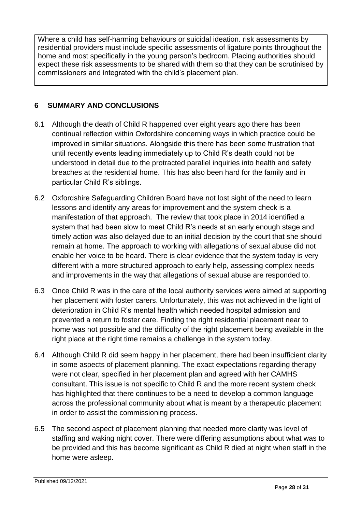Where a child has self-harming behaviours or suicidal ideation. risk assessments by residential providers must include specific assessments of ligature points throughout the home and most specifically in the young person's bedroom. Placing authorities should expect these risk assessments to be shared with them so that they can be scrutinised by commissioners and integrated with the child's placement plan.

#### <span id="page-27-0"></span>**6 SUMMARY AND CONCLUSIONS**

- 6.1 Although the death of Child R happened over eight years ago there has been continual reflection within Oxfordshire concerning ways in which practice could be improved in similar situations. Alongside this there has been some frustration that until recently events leading immediately up to Child R's death could not be understood in detail due to the protracted parallel inquiries into health and safety breaches at the residential home. This has also been hard for the family and in particular Child R's siblings.
- 6.2 Oxfordshire Safeguarding Children Board have not lost sight of the need to learn lessons and identify any areas for improvement and the system check is a manifestation of that approach. The review that took place in 2014 identified a system that had been slow to meet Child R's needs at an early enough stage and timely action was also delayed due to an initial decision by the court that she should remain at home. The approach to working with allegations of sexual abuse did not enable her voice to be heard. There is clear evidence that the system today is very different with a more structured approach to early help, assessing complex needs and improvements in the way that allegations of sexual abuse are responded to.
- 6.3 Once Child R was in the care of the local authority services were aimed at supporting her placement with foster carers. Unfortunately, this was not achieved in the light of deterioration in Child R's mental health which needed hospital admission and prevented a return to foster care. Finding the right residential placement near to home was not possible and the difficulty of the right placement being available in the right place at the right time remains a challenge in the system today.
- 6.4 Although Child R did seem happy in her placement, there had been insufficient clarity in some aspects of placement planning. The exact expectations regarding therapy were not clear, specified in her placement plan and agreed with her CAMHS consultant. This issue is not specific to Child R and the more recent system check has highlighted that there continues to be a need to develop a common language across the professional community about what is meant by a therapeutic placement in order to assist the commissioning process.
- 6.5 The second aspect of placement planning that needed more clarity was level of staffing and waking night cover. There were differing assumptions about what was to be provided and this has become significant as Child R died at night when staff in the home were asleep.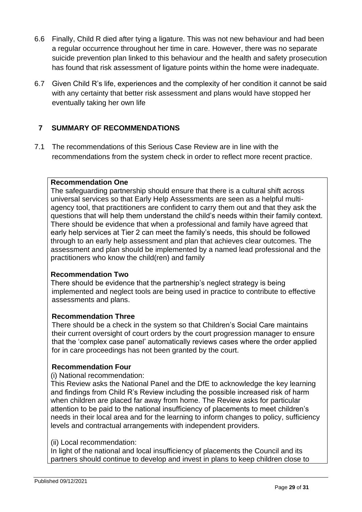- 6.6 Finally, Child R died after tying a ligature. This was not new behaviour and had been a regular occurrence throughout her time in care. However, there was no separate suicide prevention plan linked to this behaviour and the health and safety prosecution has found that risk assessment of ligature points within the home were inadequate.
- 6.7 Given Child R's life, experiences and the complexity of her condition it cannot be said with any certainty that better risk assessment and plans would have stopped her eventually taking her own life

#### <span id="page-28-0"></span>**7 SUMMARY OF RECOMMENDATIONS**

7.1 The recommendations of this Serious Case Review are in line with the recommendations from the system check in order to reflect more recent practice.

#### **Recommendation One**

The safeguarding partnership should ensure that there is a cultural shift across universal services so that Early Help Assessments are seen as a helpful multiagency tool, that practitioners are confident to carry them out and that they ask the questions that will help them understand the child's needs within their family context. There should be evidence that when a professional and family have agreed that early help services at Tier 2 can meet the family's needs, this should be followed through to an early help assessment and plan that achieves clear outcomes. The assessment and plan should be implemented by a named lead professional and the practitioners who know the child(ren) and family

#### **Recommendation Two**

There should be evidence that the partnership's neglect strategy is being implemented and neglect tools are being used in practice to contribute to effective assessments and plans.

#### **Recommendation Three**

There should be a check in the system so that Children's Social Care maintains their current oversight of court orders by the court progression manager to ensure that the 'complex case panel' automatically reviews cases where the order applied for in care proceedings has not been granted by the court.

#### **Recommendation Four**

#### (i) National recommendation:

This Review asks the National Panel and the DfE to acknowledge the key learning and findings from Child R's Review including the possible increased risk of harm when children are placed far away from home. The Review asks for particular attention to be paid to the national insufficiency of placements to meet children's needs in their local area and for the learning to inform changes to policy, sufficiency levels and contractual arrangements with independent providers.

#### (ii) Local recommendation:

In light of the national and local insufficiency of placements the Council and its partners should continue to develop and invest in plans to keep children close to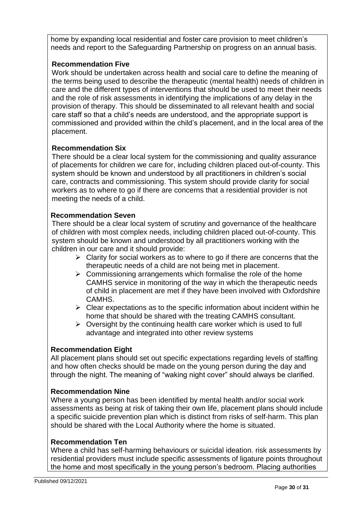home by expanding local residential and foster care provision to meet children's needs and report to the Safeguarding Partnership on progress on an annual basis.

#### **Recommendation Five**

Work should be undertaken across health and social care to define the meaning of the terms being used to describe the therapeutic (mental health) needs of children in care and the different types of interventions that should be used to meet their needs and the role of risk assessments in identifying the implications of any delay in the provision of therapy. This should be disseminated to all relevant health and social care staff so that a child's needs are understood, and the appropriate support is commissioned and provided within the child's placement, and in the local area of the placement.

#### **Recommendation Six**

There should be a clear local system for the commissioning and quality assurance of placements for children we care for, including children placed out-of-county. This system should be known and understood by all practitioners in children's social care, contracts and commissioning. This system should provide clarity for social workers as to where to go if there are concerns that a residential provider is not meeting the needs of a child.

#### **Recommendation Seven**

There should be a clear local system of scrutiny and governance of the healthcare of children with most complex needs, including children placed out-of-county. This system should be known and understood by all practitioners working with the children in our care and it should provide:

- $\triangleright$  Clarity for social workers as to where to go if there are concerns that the therapeutic needs of a child are not being met in placement.
- $\triangleright$  Commissioning arrangements which formalise the role of the home CAMHS service in monitoring of the way in which the therapeutic needs of child in placement are met if they have been involved with Oxfordshire CAMHS.
- $\triangleright$  Clear expectations as to the specific information about incident within he home that should be shared with the treating CAMHS consultant.
- $\triangleright$  Oversight by the continuing health care worker which is used to full advantage and integrated into other review systems

#### **Recommendation Eight**

All placement plans should set out specific expectations regarding levels of staffing and how often checks should be made on the young person during the day and through the night. The meaning of "waking night cover" should always be clarified.

#### **Recommendation Nine**

Where a young person has been identified by mental health and/or social work assessments as being at risk of taking their own life, placement plans should include a specific suicide prevention plan which is distinct from risks of self-harm. This plan should be shared with the Local Authority where the home is situated.

#### **Recommendation Ten**

Where a child has self-harming behaviours or suicidal ideation. risk assessments by residential providers must include specific assessments of ligature points throughout the home and most specifically in the young person's bedroom. Placing authorities